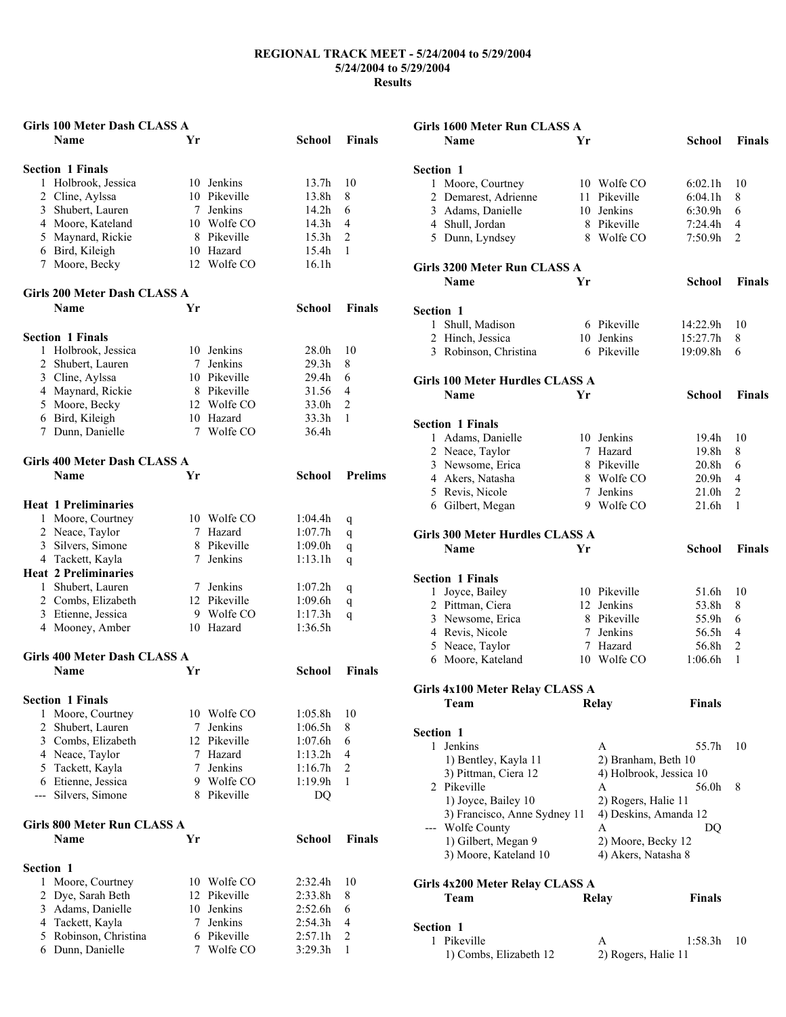| <b>Name</b>                         | Girls 100 Meter Dash CLASS A |              |                   |                |
|-------------------------------------|------------------------------|--------------|-------------------|----------------|
|                                     | Yr                           |              | School            | <b>Finals</b>  |
|                                     |                              |              |                   |                |
|                                     |                              |              |                   |                |
| <b>Section 1 Finals</b>             |                              |              |                   |                |
| Holbrook, Jessica<br>1.             |                              | 10 Jenkins   | 13.7h             | 10             |
| 2 Cline, Aylssa                     |                              | 10 Pikeville | 13.8h             | 8              |
| 3 Shubert, Lauren                   | 7                            | Jenkins      | 14.2h             | 6              |
| 4 Moore, Kateland                   |                              | 10 Wolfe CO  | 14.3h             | 4              |
| 5 Maynard, Rickie                   |                              | 8 Pikeville  | 15.3 <sub>h</sub> | $\overline{c}$ |
|                                     |                              | 10 Hazard    | 15.4h             | 1              |
| 6 Bird, Kileigh                     |                              |              |                   |                |
| 7 Moore, Becky                      |                              | 12 Wolfe CO  | 16.1 <sub>h</sub> |                |
|                                     |                              |              |                   |                |
| <b>Girls 200 Meter Dash CLASS A</b> |                              |              |                   |                |
| <b>Name</b>                         | Yr                           |              | <b>School</b>     | <b>Finals</b>  |
|                                     |                              |              |                   |                |
|                                     |                              |              |                   |                |
| <b>Section 1 Finals</b>             |                              |              |                   |                |
| 1 Holbrook, Jessica                 |                              | 10 Jenkins   | 28.0h             | 10             |
| 2 Shubert, Lauren                   | 7                            | Jenkins      | 29.3 <sub>h</sub> | 8              |
| 3 Cline, Aylssa                     |                              | 10 Pikeville | 29.4h             | 6              |
| 4 Maynard, Rickie                   |                              | 8 Pikeville  | 31.56             | 4              |
| 5 Moore, Becky                      |                              | 12 Wolfe CO  | 33.0h             | $\overline{c}$ |
| 6 Bird, Kileigh                     |                              | 10 Hazard    | 33.3h             | 1              |
|                                     |                              |              |                   |                |
| Dunn, Danielle<br>7                 |                              | 7 Wolfe CO   | 36.4h             |                |
|                                     |                              |              |                   |                |
| <b>Girls 400 Meter Dash CLASS A</b> |                              |              |                   |                |
| <b>Name</b>                         | Yr                           |              | <b>School</b>     | <b>Prelims</b> |
|                                     |                              |              |                   |                |
|                                     |                              |              |                   |                |
| <b>Heat 1 Preliminaries</b>         |                              |              |                   |                |
| 1 Moore, Courtney                   |                              | 10 Wolfe CO  | 1:04.4h           | q              |
| 2 Neace, Taylor                     | 7                            | Hazard       | 1:07.7h           | q              |
| 3 Silvers, Simone                   |                              | 8 Pikeville  | 1:09.0h           | q              |
| 4 Tackett, Kayla                    |                              | 7 Jenkins    | 1:13.1h           | q              |
| <b>Heat 2 Preliminaries</b>         |                              |              |                   |                |
| 1 Shubert, Lauren                   | 7                            | Jenkins      | 1:07.2h           |                |
|                                     |                              |              |                   | q              |
|                                     |                              |              |                   |                |
| 2 Combs, Elizabeth                  |                              | 12 Pikeville | 1:09.6h           | q              |
| 3 Etienne, Jessica                  |                              | 9 Wolfe CO   | 1:17.3h           | q              |
| 4 Mooney, Amber                     |                              | 10 Hazard    | 1:36.5h           |                |
|                                     |                              |              |                   |                |
| Girls 400 Meter Dash CLASS A        |                              |              |                   |                |
|                                     |                              |              |                   |                |
| Name                                | Yr                           |              | School            | <b>Finals</b>  |
|                                     |                              |              |                   |                |
| <b>Section 1 Finals</b>             |                              |              |                   |                |
| Moore, Courtney<br>1                |                              | 10 Wolfe CO  | 1:05.8h           | 10             |
| $\overline{2}$<br>Shubert, Lauren   | 7                            | Jenkins      | 1:06.5h           | 8              |
|                                     | 12                           | Pikeville    |                   |                |
| 3 Combs, Elizabeth                  |                              |              | 1:07.6h           | 6              |
| 4 Neace, Taylor                     | 7                            | Hazard       | 1:13.2h           | 4              |
| 5 Tackett, Kayla                    | 7                            | Jenkins      | 1:16.7h           | $\overline{2}$ |
| 6 Etienne, Jessica                  | 9                            | Wolfe CO     | 1:19.9h           | 1              |
| Silvers, Simone<br>---              | 8                            | Pikeville    | DQ                |                |
|                                     |                              |              |                   |                |
| Girls 800 Meter Run CLASS A         |                              |              |                   |                |
|                                     |                              |              |                   |                |
| <b>Name</b>                         | Yr                           |              | <b>School</b>     | <b>Finals</b>  |
|                                     |                              |              |                   |                |
| Section 1                           |                              |              |                   |                |
| Moore, Courtney<br>1                |                              | 10 Wolfe CO  | 2:32.4h           | 10             |
| 2<br>Dye, Sarah Beth                | 12                           | Pikeville    | 2:33.8h           | 8              |
| Adams, Danielle<br>3                | 10                           | Jenkins      | 2:52.6h           | 6              |
| 4 Tackett, Kayla                    | 7                            | Jenkins      | 2:54.3h           | $\overline{4}$ |
| 5 Robinson, Christina               | 6                            | Pikeville    | 2:57.1h           | $\overline{c}$ |

|                  | Girls 1600 Meter Run CLASS A                        |    |                                                |                   |                |
|------------------|-----------------------------------------------------|----|------------------------------------------------|-------------------|----------------|
|                  | <b>Name</b>                                         | Yr |                                                | School            | <b>Finals</b>  |
| <b>Section 1</b> |                                                     |    |                                                |                   |                |
|                  | 1 Moore, Courtney                                   |    | 10 Wolfe CO                                    | 6:02.1h           | 10             |
| 2                | Demarest, Adrienne                                  | 11 | Pikeville                                      | 6:04.1h           | 8              |
|                  | 3 Adams, Danielle                                   |    | 10 Jenkins                                     | 6:30.9h           | 6              |
|                  | 4 Shull, Jordan                                     |    | 8 Pikeville                                    | 7:24.4h           | $\overline{4}$ |
|                  | 5 Dunn, Lyndsey                                     | 8  | Wolfe CO                                       | 7:50.9h           | 2              |
|                  | Girls 3200 Meter Run CLASS A                        |    |                                                |                   |                |
|                  | <b>Name</b>                                         | Yr |                                                | School            | <b>Finals</b>  |
| <b>Section 1</b> |                                                     |    |                                                |                   |                |
| 1                | Shull, Madison                                      |    | 6 Pikeville                                    | 14:22.9h          | 10             |
| $\overline{2}$   | Hinch, Jessica                                      |    | 10 Jenkins                                     | 15:27.7h          | 8              |
|                  | 3 Robinson, Christina                               |    | 6 Pikeville                                    | 19:09.8h          | 6              |
|                  | Girls 100 Meter Hurdles CLASS A                     |    |                                                |                   |                |
|                  | Name                                                | Yr |                                                | School            | <b>Finals</b>  |
|                  | <b>Section 1 Finals</b>                             |    |                                                |                   |                |
|                  | 1 Adams, Danielle                                   |    | 10 Jenkins                                     | 19.4h             | 10             |
|                  | 2 Neace, Taylor                                     |    | 7 Hazard                                       | 19.8h             | 8              |
|                  | 3 Newsome, Erica                                    |    | 8 Pikeville                                    | 20.8 <sub>h</sub> | 6              |
|                  | 4 Akers, Natasha                                    |    | 8 Wolfe CO                                     | 20.9h             | $\overline{4}$ |
|                  | 5 Revis, Nicole                                     |    | 7 Jenkins                                      | 21.0h             | 2              |
|                  | 6 Gilbert, Megan                                    |    | 9 Wolfe CO                                     | 21.6h             | 1              |
|                  |                                                     |    |                                                |                   |                |
|                  | Girls 300 Meter Hurdles CLASS A<br>Name             | Yr |                                                | School            | <b>Finals</b>  |
|                  |                                                     |    |                                                |                   |                |
|                  | <b>Section 1 Finals</b>                             |    |                                                |                   |                |
| 1                | Joyce, Bailey                                       |    | 10 Pikeville                                   | 51.6h             | 10             |
|                  | 2 Pittman, Ciera                                    |    | 12 Jenkins                                     | 53.8h             | 8              |
|                  | 3 Newsome, Erica                                    |    | 8 Pikeville                                    | 55.9h             | 6              |
|                  | 4 Revis, Nicole                                     |    | 7 Jenkins                                      | 56.5h             | $\overline{4}$ |
|                  | 5 Neace, Taylor                                     |    | 7 Hazard                                       | 56.8h             | 2              |
|                  | 6 Moore, Kateland                                   |    | 10 Wolfe CO                                    | 1:06.6h           | 1              |
|                  | <b>Girls 4x100 Meter Relay CLASS A</b>              |    |                                                |                   |                |
|                  | Team                                                |    | Relay                                          | <b>Finals</b>     |                |
| <b>Section 1</b> |                                                     |    |                                                |                   |                |
|                  | 1 Jenkins                                           |    | A                                              | 55.7h             | 10             |
|                  | 1) Bentley, Kayla 11                                |    |                                                |                   |                |
|                  |                                                     |    | 2) Branham, Beth 10<br>4) Holbrook, Jessica 10 |                   |                |
|                  | 3) Pittman, Ciera 12<br>2 Pikeville                 |    | A                                              | 56.0h             | 8              |
|                  |                                                     |    | 2) Rogers, Halie 11                            |                   |                |
|                  | 1) Joyce, Bailey 10<br>3) Francisco, Anne Sydney 11 |    |                                                |                   |                |
|                  | --- Wolfe County                                    |    | 4) Deskins, Amanda 12<br>А                     |                   |                |
|                  | 1) Gilbert, Megan 9                                 |    | 2) Moore, Becky 12                             | DQ                |                |
|                  | 3) Moore, Kateland 10                               |    | 4) Akers, Natasha 8                            |                   |                |
|                  |                                                     |    |                                                |                   |                |
|                  | <b>Girls 4x200 Meter Relay CLASS A</b><br>Team      |    | Relay                                          | <b>Finals</b>     |                |
|                  |                                                     |    |                                                |                   |                |
| <b>Section 1</b> |                                                     |    |                                                |                   |                |
|                  | 1 Pikeville                                         |    | А                                              | 1:58.3h           | 10             |

1) Combs, Elizabeth 12 2) Rogers, Halie 11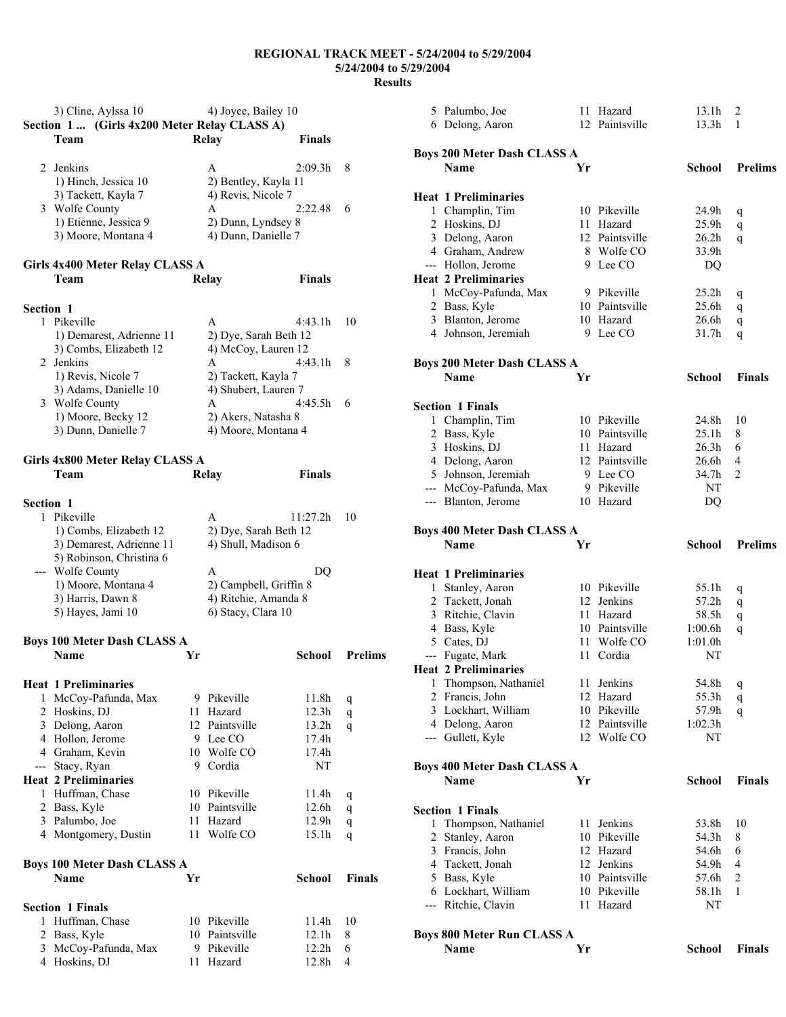|                                        | 3) Cline, Aylssa 10                          |    | 4) Joyce, Bailey 10                         |                |                |
|----------------------------------------|----------------------------------------------|----|---------------------------------------------|----------------|----------------|
|                                        | Section 1  (Girls 4x200 Meter Relay CLASS A) |    |                                             |                |                |
| Team                                   |                                              |    | Relay                                       | <b>Finals</b>  |                |
| 2 Jenkins                              |                                              |    | A                                           | 2:09.3h        | 8              |
|                                        | 1) Hinch, Jessica 10                         |    | 2) Bentley, Kayla 11                        |                |                |
|                                        | 3) Tackett, Kayla 7                          |    | 4) Revis, Nicole 7                          |                |                |
| 3 Wolfe County                         |                                              |    | A                                           | 2:22.48        | 6              |
|                                        | 1) Etienne, Jessica 9                        |    | 2) Dunn, Lyndsey 8                          |                |                |
|                                        | 3) Moore, Montana 4                          |    | 4) Dunn, Danielle 7                         |                |                |
|                                        | Girls 4x400 Meter Relay CLASS A              |    |                                             |                |                |
| Team                                   |                                              |    | <b>Relay</b>                                | <b>Finals</b>  |                |
|                                        |                                              |    |                                             |                |                |
| Section 1                              |                                              |    |                                             |                |                |
| 1 Pikeville                            |                                              |    | A                                           | 4:43.1h        | 10             |
|                                        | 1) Demarest, Adrienne 11                     |    | 2) Dye, Sarah Beth 12                       |                |                |
|                                        | 3) Combs, Elizabeth 12                       |    | 4) McCoy, Lauren 12                         |                |                |
| 2 Jenkins                              |                                              |    | A                                           | 4:43.1h        | 8              |
|                                        | 1) Revis, Nicole 7<br>3) Adams, Danielle 10  |    | 2) Tackett, Kayla 7<br>4) Shubert, Lauren 7 |                |                |
| 3 Wolfe County                         |                                              |    | A                                           | 4:45.5h        | 6              |
|                                        | 1) Moore, Becky 12                           |    | 2) Akers, Natasha 8                         |                |                |
|                                        | 3) Dunn, Danielle 7                          |    | 4) Moore, Montana 4                         |                |                |
|                                        |                                              |    |                                             |                |                |
|                                        | Girls 4x800 Meter Relay CLASS A              |    |                                             |                |                |
| Team                                   |                                              |    | <b>Relay</b>                                | <b>Finals</b>  |                |
| Section 1                              |                                              |    |                                             |                |                |
| 1 Pikeville                            |                                              |    | A                                           | 11:27.2h       | 10             |
|                                        | 1) Combs, Elizabeth 12                       |    | 2) Dye, Sarah Beth 12                       |                |                |
|                                        | 3) Demarest, Adrienne 11                     |    | 4) Shull, Madison 6                         |                |                |
|                                        | 5) Robinson, Christina 6                     |    |                                             |                |                |
| --- Wolfe County                       |                                              |    | A                                           | DQ             |                |
|                                        | 1) Moore, Montana 4                          |    | 2) Campbell, Griffin 8                      |                |                |
| 3) Harris, Dawn 8<br>5) Hayes, Jami 10 |                                              |    | 4) Ritchie, Amanda 8<br>6) Stacy, Clara 10  |                |                |
|                                        |                                              |    |                                             |                |                |
|                                        | <b>Boys 100 Meter Dash CLASS A</b>           |    |                                             |                |                |
| <b>Name</b>                            |                                              | Yr |                                             | School         | <b>Prelims</b> |
|                                        |                                              |    |                                             |                |                |
| <b>Heat 1 Preliminaries</b>            |                                              |    |                                             |                |                |
|                                        | 1 McCoy-Pafunda, Max                         |    | 9 Pikeville                                 | 11.8h          | q              |
| 2 Hoskins, DJ<br>3 Delong, Aaron       |                                              |    | 11 Hazard<br>12 Paintsville                 | 12.3h<br>13.2h | q              |
| 4 Hollon, Jerome                       |                                              |    | 9 Lee CO                                    | 17.4h          | q              |
| 4 Graham, Kevin                        |                                              |    | 10 Wolfe CO                                 | 17.4h          |                |
| --- Stacy, Ryan                        |                                              |    | 9 Cordia                                    | NT             |                |
| <b>Heat 2 Preliminaries</b>            |                                              |    |                                             |                |                |
| 1 Huffman, Chase                       |                                              |    | 10 Pikeville                                | 11.4h          | q              |
| 2 Bass, Kyle                           |                                              |    | 10 Paintsville                              | 12.6h          | q              |
| 3 Palumbo, Joe                         |                                              | 11 | Hazard                                      | 12.9h          | q              |
| 4 Montgomery, Dustin                   |                                              | 11 | Wolfe CO                                    | 15.1h          | q              |
|                                        | <b>Boys 100 Meter Dash CLASS A</b>           |    |                                             |                |                |
| Name                                   |                                              | Yr |                                             | <b>School</b>  | Finals         |
|                                        |                                              |    |                                             |                |                |
| <b>Section 1 Finals</b>                |                                              |    |                                             |                |                |
| Huffman, Chase<br>1                    |                                              |    | 10 Pikeville                                | 11.4h          | 10             |
| 2 Bass, Kyle                           |                                              |    | 10 Paintsville                              | 12.1h          | 8              |
| 4 Hoskins, DJ                          | 3 McCoy-Pafunda, Max                         |    | 9 Pikeville<br>11 Hazard                    | 12.2h<br>12.8h | 6<br>4         |
|                                        |                                              |    |                                             |                |                |

|                          | 5 Palumbo, Joe                                    |    | 11 Hazard                     | 13.1h             | 2              |
|--------------------------|---------------------------------------------------|----|-------------------------------|-------------------|----------------|
|                          | 6 Delong, Aaron                                   |    | 12 Paintsville                | 13.3h             | 1              |
|                          |                                                   |    |                               |                   |                |
|                          | <b>Boys 200 Meter Dash CLASS A</b>                |    |                               |                   |                |
|                          | Name                                              | Yr |                               | <b>School</b>     | <b>Prelims</b> |
|                          |                                                   |    |                               |                   |                |
|                          | <b>Heat 1 Preliminaries</b>                       |    |                               |                   |                |
|                          | 1 Champlin, Tim                                   |    | 10 Pikeville                  | 24.9h             | q              |
|                          | 2 Hoskins, DJ                                     |    | 11 Hazard                     | 25.9h             | q              |
|                          | 3 Delong, Aaron                                   |    | 12 Paintsville                | 26.2 <sub>h</sub> | q              |
|                          | 4 Graham, Andrew                                  |    | 8 Wolfe CO                    | 33.9h             |                |
|                          | --- Hollon, Jerome                                |    | 9 Lee CO                      | DQ                |                |
|                          | <b>Heat 2 Preliminaries</b>                       |    |                               |                   |                |
|                          | 1 McCoy-Pafunda, Max                              |    | 9 Pikeville<br>10 Paintsville | 25.2 <sub>h</sub> | q              |
|                          | 2 Bass, Kyle                                      |    | 10 Hazard                     | 25.6h<br>26.6h    | q              |
|                          | 3 Blanton, Jerome<br>4 Johnson, Jeremiah          |    | 9 Lee CO                      | 31.7h             | q              |
|                          |                                                   |    |                               |                   | q              |
|                          |                                                   |    |                               |                   |                |
|                          | <b>Boys 200 Meter Dash CLASS A</b><br><b>Name</b> | Yr |                               | <b>School</b>     | <b>Finals</b>  |
|                          |                                                   |    |                               |                   |                |
|                          | <b>Section 1 Finals</b>                           |    |                               |                   |                |
|                          | 1 Champlin, Tim                                   |    | 10 Pikeville                  | 24.8h             | 10             |
| $\overline{c}$           | Bass, Kyle                                        |    | 10 Paintsville                | 25.1h             | 8              |
| 3                        | Hoskins, DJ                                       |    | 11 Hazard                     | 26.3 <sub>h</sub> | 6              |
|                          | 4 Delong, Aaron                                   |    | 12 Paintsville                | 26.6h             | 4              |
|                          | 5 Johnson, Jeremiah                               |    | 9 Lee CO                      | 34.7h             | 2              |
|                          | --- McCoy-Pafunda, Max                            |    | 9 Pikeville                   | NT                |                |
|                          | --- Blanton, Jerome                               |    | 10 Hazard                     | DQ                |                |
|                          |                                                   |    |                               |                   |                |
|                          | <b>Boys 400 Meter Dash CLASS A</b>                |    |                               |                   |                |
|                          |                                                   |    |                               | <b>School</b>     | <b>Prelims</b> |
|                          | Name                                              | Yr |                               |                   |                |
|                          |                                                   |    |                               |                   |                |
|                          |                                                   |    |                               |                   |                |
|                          | <b>Heat 1 Preliminaries</b><br>1 Stanley, Aaron   |    | 10 Pikeville                  | 55.1h             |                |
|                          | 2 Tackett, Jonah                                  |    | 12 Jenkins                    | 57.2h             | q              |
|                          | 3 Ritchie, Clavin                                 |    | 11 Hazard                     | 58.5h             | q<br>q         |
|                          | 4 Bass, Kyle                                      |    | 10 Paintsville                | 1:00.6h           | q              |
|                          | 5 Cates, DJ                                       |    | 11 Wolfe CO                   | 1:01.0h           |                |
| $\overline{\phantom{a}}$ | Fugate, Mark                                      |    | 11 Cordia                     | NT                |                |
|                          | <b>Heat 2 Preliminaries</b>                       |    |                               |                   |                |
|                          | 1 Thompson, Nathaniel                             |    | 11 Jenkins                    | 54.8h             | q              |
| $\overline{2}$           | Francis, John                                     |    | 12 Hazard                     | 55.3h             | q              |
| 3                        | Lockhart, William                                 |    | 10 Pikeville                  | 57.9h             | q              |
|                          | 4 Delong, Aaron                                   |    | 12 Paintsville                | 1:02.3h           |                |
|                          | --- Gullett, Kyle                                 |    | 12 Wolfe CO                   | NT                |                |
|                          |                                                   |    |                               |                   |                |
|                          | <b>Boys 400 Meter Dash CLASS A</b>                |    |                               |                   |                |
|                          | Name                                              | Yr |                               | <b>School</b>     | <b>Finals</b>  |
|                          |                                                   |    |                               |                   |                |
|                          | <b>Section 1 Finals</b>                           |    |                               |                   |                |
| 1                        | Thompson, Nathaniel                               |    | 11 Jenkins                    | 53.8h             | 10             |
| $\overline{2}$           | Stanley, Aaron                                    |    | 10 Pikeville                  | 54.3h             | 8              |
|                          | 3 Francis, John                                   |    | 12 Hazard                     | 54.6h             | 6              |
|                          | 4 Tackett, Jonah                                  |    | 12 Jenkins                    | 54.9h             | 4              |
| 5.                       | Bass, Kyle                                        |    | 10 Paintsville                | 57.6h             | 2              |
|                          | 6 Lockhart, William                               |    | 10 Pikeville                  | 58.1h             | 1              |
|                          | --- Ritchie, Clavin                               |    | 11 Hazard                     | NT                |                |
|                          |                                                   |    |                               |                   |                |
|                          | <b>Boys 800 Meter Run CLASS A</b><br>Name         | Yr |                               | <b>School</b>     | <b>Finals</b>  |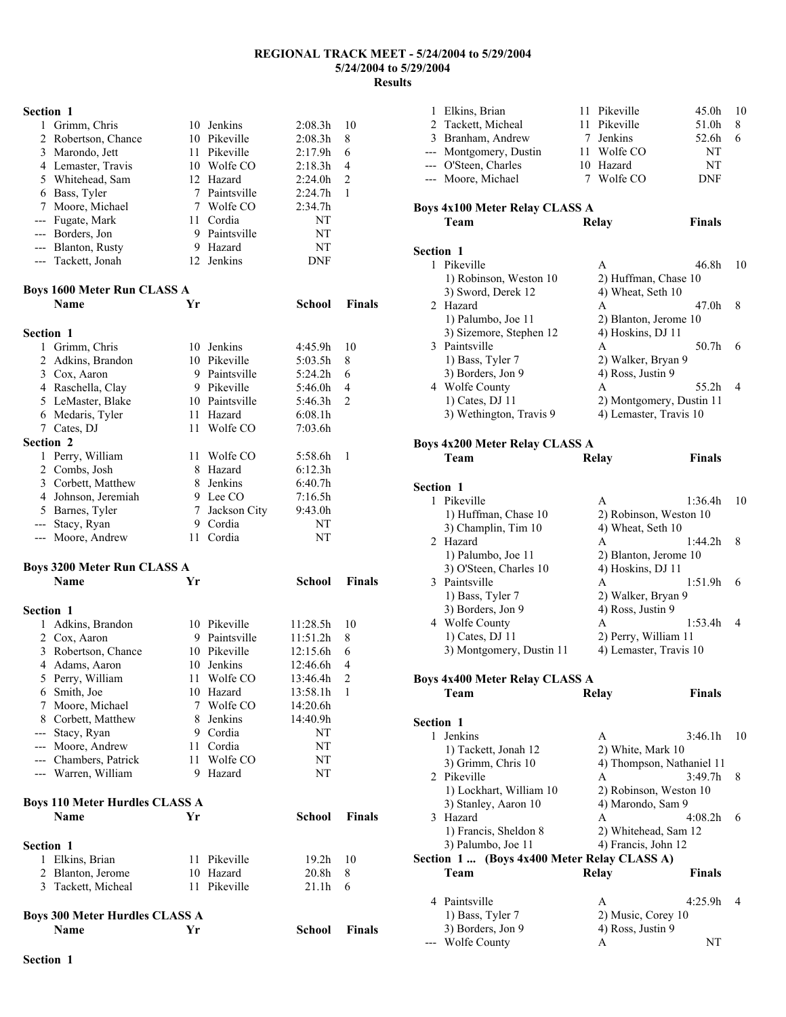| Grimm, Chris        | 10 | Jenkins       | 2:08.3h    | 10 |
|---------------------|----|---------------|------------|----|
| 2 Robertson, Chance |    | 10 Pikeville  | 2:08.3h    | 8  |
| 3 Marondo, Jett     |    | 11 Pikeville  | 2:17.9h    | 6  |
| 4 Lemaster, Travis  |    | 10 Wolfe CO   | 2:18.3h    | 4  |
| 5 Whitehead, Sam    |    | 12 Hazard     | 2:24.0h    | 2  |
| 6 Bass, Tyler       |    | 7 Paintsville | 2:24.7h    |    |
| 7 Moore, Michael    |    | Wolfe CO      | 2:34.7h    |    |
| --- Fugate, Mark    |    | 11 Cordia     | NT         |    |
| --- Borders, Jon    | 9  | Paintsville   | NT         |    |
| --- Blanton, Rusty  |    | Hazard        | NT         |    |
| --- Tackett, Jonah  |    | 12 Jenkins    | <b>DNF</b> |    |

## **Boys 1600 Meter Run CLASS A**

|                  | DOVS TOOD MEIEF KUIL CLASS A |    |              |         |                |
|------------------|------------------------------|----|--------------|---------|----------------|
|                  | Name                         | Yr |              | School  | <b>Finals</b>  |
| <b>Section 1</b> |                              |    |              |         |                |
| 1                | Grimm, Chris                 | 10 | Jenkins      | 4:45.9h | 10             |
| 2                | Adkins, Brandon              |    | 10 Pikeville | 5:03.5h | 8              |
| 3                | Cox, Aaron                   | 9  | Paintsville  | 5:24.2h | 6              |
| 4                | Raschella, Clay              | 9  | Pikeville    | 5:46.0h | $\overline{4}$ |
| 5.               | LeMaster, Blake              | 10 | Paintsville  | 5:46.3h | $\overline{2}$ |
| 6                | Medaris, Tyler               | 11 | Hazard       | 6:08.1h |                |
| 7                | Cates, DJ                    | 11 | Wolfe CO     | 7:03.6h |                |
| <b>Section 2</b> |                              |    |              |         |                |
| 1                | Perry, William               | 11 | Wolfe CO     | 5:58.6h | 1              |
| 2                | Combs, Josh                  | 8  | Hazard       | 6:12.3h |                |
| 3                | Corbett, Matthew             | 8  | Jenkins      | 6:40.7h |                |
| 4                | Johnson, Jeremiah            | 9  | Lee CO       | 7:16.5h |                |
| 5                | Barnes, Tyler                | 7  | Jackson City | 9:43.0h |                |
| ---              | Stacy, Ryan                  | 9  | Cordia       | NT      |                |
| ---              | Moore, Andrew                | 11 | Cordia       | NT      |                |

#### **Boys 3200 Meter Run CLASS A**

|                  | Name                                  | Yr |              | School            | <b>Finals</b>  |
|------------------|---------------------------------------|----|--------------|-------------------|----------------|
| <b>Section 1</b> |                                       |    |              |                   |                |
| 1                | Adkins, Brandon                       | 10 | Pikeville    | 11:28.5h          | 10             |
| 2                | Cox, Aaron                            | 9  | Paintsville  | 11:51.2h          | 8              |
| 3                | Robertson, Chance                     |    | 10 Pikeville | 12:15.6h          | 6              |
| 4                | Adams, Aaron                          | 10 | Jenkins      | 12:46.6h          | $\overline{4}$ |
| 5                | Perry, William                        |    | 11 Wolfe CO  | 13:46.4h          | 2              |
| 6                | Smith, Joe                            | 10 | Hazard       | 13:58.1h          | 1              |
| 7                | Moore, Michael                        |    | 7 Wolfe CO   | 14:20.6h          |                |
| 8                | Corbett, Matthew                      |    | 8 Jenkins    | 14:40.9h          |                |
| ---              | Stacy, Ryan                           | 9  | Cordia       | NT                |                |
| $---$            | Moore, Andrew                         | 11 | Cordia       | NT                |                |
| $---$            | Chambers, Patrick                     | 11 | Wolfe CO     | NT                |                |
| $---$            | Warren, William                       | 9  | Hazard       | NT                |                |
|                  | <b>Boys 110 Meter Hurdles CLASS A</b> |    |              |                   |                |
|                  | <b>Name</b>                           | Yr |              | <b>School</b>     | <b>Finals</b>  |
| <b>Section 1</b> |                                       |    |              |                   |                |
| 1                | Elkins, Brian                         | 11 | Pikeville    | 19.2 <sub>h</sub> | 10             |
| 2                | Blanton, Jerome                       | 10 | Hazard       | 20.8 <sub>h</sub> | 8              |
| 3                | Tackett, Micheal                      | 11 | Pikeville    | 21.1h             | 6              |
|                  | <b>Boys 300 Meter Hurdles CLASS A</b> |    |              |                   |                |
|                  | Name                                  | Yr |              | School            | <b>Finals</b>  |

| 1<br>2           | Elkins, Brian<br>Tackett, Micheal<br>3 Branham, Andrew<br>--- Montgomery, Dustin<br>--- O'Steen, Charles<br>--- Moore, Michael | 11<br>7 | Pikeville<br>11 Pikeville<br>7 Jenkins<br>11 Wolfe CO<br>10 Hazard<br>Wolfe CO | 45.0h<br>51.0h<br>52.6h<br>NT<br>NT<br>DNF | 10<br>8<br>6   |
|------------------|--------------------------------------------------------------------------------------------------------------------------------|---------|--------------------------------------------------------------------------------|--------------------------------------------|----------------|
|                  | Boys 4x100 Meter Relay CLASS A<br><b>Team</b>                                                                                  |         | Relay                                                                          | <b>Finals</b>                              |                |
| <b>Section 1</b> |                                                                                                                                |         |                                                                                |                                            |                |
|                  | 1 Pikeville<br>1) Robinson, Weston 10<br>3) Sword, Derek 12                                                                    |         | A<br>2) Huffman, Chase 10<br>4) Wheat, Seth 10                                 | 46.8h                                      | 10             |
| 2                | Hazard<br>1) Palumbo, Joe 11<br>3) Sizemore, Stephen 12                                                                        |         | A<br>2) Blanton, Jerome 10<br>4) Hoskins, DJ 11                                | 47.0h                                      | 8              |
|                  | 3 Paintsville<br>1) Bass, Tyler 7<br>3) Borders, Jon 9                                                                         |         | A<br>2) Walker, Bryan 9<br>4) Ross, Justin 9                                   | 50.7h                                      | 6              |
|                  | 4 Wolfe County<br>1) Cates, DJ 11<br>3) Wethington, Travis 9                                                                   |         | A<br>2) Montgomery, Dustin 11<br>4) Lemaster, Travis 10                        | 55.2h                                      | 4              |
|                  | <b>Boys 4x200 Meter Relay CLASS A</b><br>Team                                                                                  |         | Relay                                                                          | <b>Finals</b>                              |                |
| Section 1        |                                                                                                                                |         |                                                                                |                                            |                |
|                  | 1 Pikeville<br>1) Huffman, Chase 10<br>3) Champlin, Tim 10                                                                     |         | A<br>2) Robinson, Weston 10<br>4) Wheat, Seth 10                               | 1:36.4h                                    | 10             |
|                  | 2 Hazard<br>1) Palumbo, Joe 11<br>3) O'Steen, Charles 10                                                                       |         | A<br>2) Blanton, Jerome 10<br>4) Hoskins, DJ 11                                | 1:44.2h                                    | 8              |
| 3                | Paintsville<br>1) Bass, Tyler 7<br>3) Borders, Jon 9                                                                           |         | A<br>2) Walker, Bryan 9<br>4) Ross, Justin 9                                   | 1:51.9h                                    | 6              |
|                  | 4 Wolfe County<br>1) Cates, DJ 11<br>3) Montgomery, Dustin 11                                                                  |         | A<br>2) Perry, William 11<br>4) Lemaster, Travis 10                            | 1:53.4h                                    | 4              |
|                  | <b>Boys 4x400 Meter Relay CLASS A</b><br>Team                                                                                  |         | Relay                                                                          | Finals                                     |                |
|                  |                                                                                                                                |         |                                                                                |                                            |                |
| <b>Section 1</b> | 1 Jenkins                                                                                                                      |         | A                                                                              | 3:46.1h                                    | 10             |
|                  | 1) Tackett, Jonah 12<br>3) Grimm, Chris 10                                                                                     |         | 2) White, Mark 10<br>4) Thompson, Nathaniel 11                                 |                                            |                |
|                  | 2 Pikeville<br>1) Lockhart, William 10<br>3) Stanley, Aaron 10                                                                 |         | A<br>2) Robinson, Weston 10<br>4) Marondo, Sam 9                               | 3:49.7h                                    | 8              |
|                  | 3 Hazard<br>1) Francis, Sheldon 8                                                                                              |         | A<br>2) Whitehead, Sam 12                                                      | 4:08.2h                                    | 6              |
|                  | 3) Palumbo, Joe 11<br>Section 1 (Boys 4x400 Meter Relay CLASS A)                                                               |         | 4) Francis, John 12                                                            |                                            |                |
|                  | Team                                                                                                                           |         | Relay                                                                          | <b>Finals</b>                              |                |
|                  | 4 Paintsville<br>1) Bass, Tyler 7                                                                                              |         | A<br>2) Music, Corey 10                                                        | 4:25.9h                                    | $\overline{4}$ |
|                  | 3) Borders, Jon 9                                                                                                              |         | 4) Ross, Justin 9                                                              |                                            |                |
|                  | Wolfe County                                                                                                                   |         | A                                                                              | NT                                         |                |